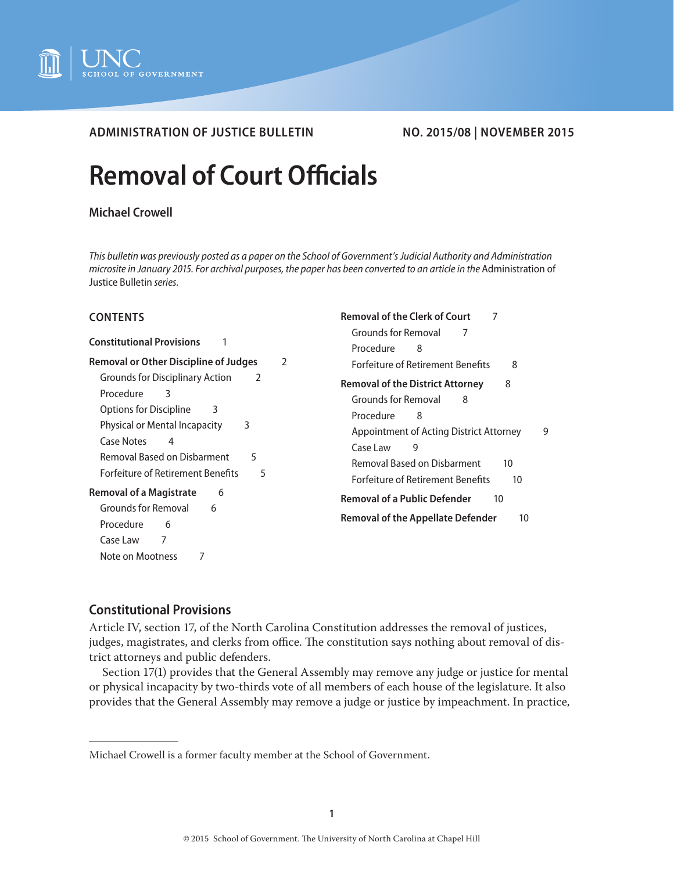

# **ADMINISTRATION OF JUSTICE BULLETIN NO. 2015/08 | NOVEMBER 2015**

# **Removal of Court Officials**

# **Michael Crowell**

*This bulletin was previously posted as a paper on the School of Government's Judicial Authority and Administration microsite in January 2015. For archival purposes, the paper has been converted to an article in the* Administration of Justice Bulletin *series.*

**[Removal of the Clerk of Court](#page-6-0)** 7

## **CONTENTS**

| <b>Constitutional Provisions</b>                                                                                       | <b>Grounds for Removal</b><br>7<br>Procedure<br>8                                           |
|------------------------------------------------------------------------------------------------------------------------|---------------------------------------------------------------------------------------------|
| <b>Removal or Other Discipline of Judges</b>                                                                           | <b>Forfeiture of Retirement Benefits</b>                                                    |
| 2                                                                                                                      | 8                                                                                           |
| <b>Grounds for Disciplinary Action</b>                                                                                 | 8                                                                                           |
| 2                                                                                                                      | <b>Removal of the District Attorney</b>                                                     |
| Procedure                                                                                                              | Grounds for Removal                                                                         |
| 3                                                                                                                      | 8                                                                                           |
| <b>Options for Discipline</b>                                                                                          | Procedure                                                                                   |
| 3                                                                                                                      | 8                                                                                           |
| Physical or Mental Incapacity                                                                                          | Appointment of Acting District Attorney                                                     |
| 3                                                                                                                      | 9                                                                                           |
| Case Notes                                                                                                             | Case Law                                                                                    |
| 4                                                                                                                      | 9                                                                                           |
| Removal Based on Disbarment                                                                                            | <b>Removal Based on Disbarment</b>                                                          |
| 5                                                                                                                      | 10                                                                                          |
| <b>Forfeiture of Retirement Benefits</b>                                                                               | <b>Forfeiture of Retirement Benefits</b>                                                    |
| 5                                                                                                                      | 10                                                                                          |
| <b>Removal of a Magistrate</b><br>6<br>Grounds for Removal<br>6<br>Procedure<br>6<br>7<br>Case Law<br>Note on Mootness | <b>Removal of a Public Defender</b><br>10<br><b>Removal of the Appellate Defender</b><br>10 |

# **Constitutional Provisions**

Article IV, section 17, of the North Carolina Constitution addresses the removal of justices, judges, magistrates, and clerks from office. The constitution says nothing about removal of district attorneys and public defenders.

Section 17(1) provides that the General Assembly may remove any judge or justice for mental or physical incapacity by two-thirds vote of all members of each house of the legislature. It also provides that the General Assembly may remove a judge or justice by impeachment. In practice,

Michael Crowell is a former faculty member at the School of Government.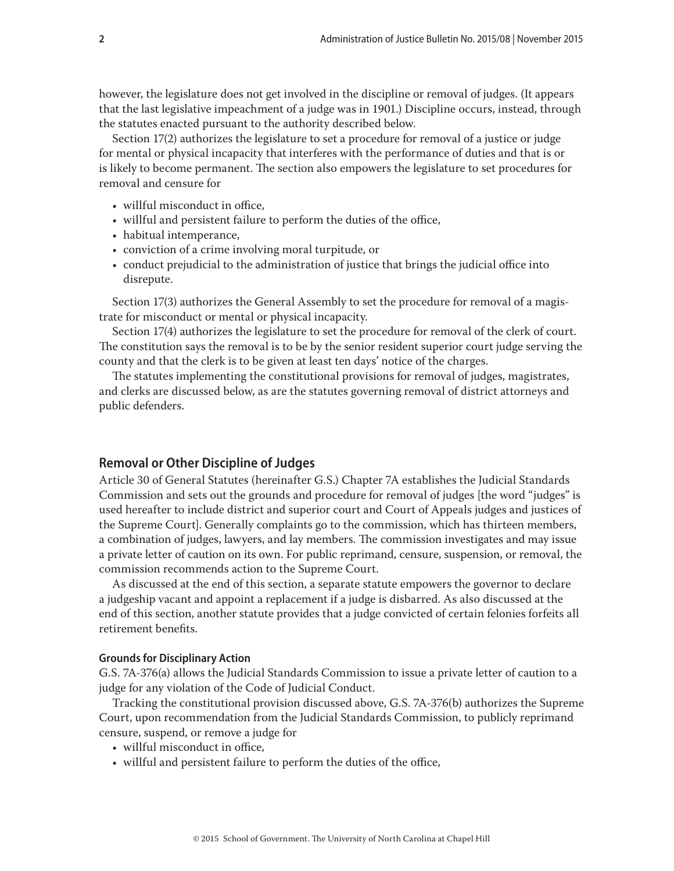<span id="page-1-0"></span>however, the legislature does not get involved in the discipline or removal of judges. (It appears that the last legislative impeachment of a judge was in 1901.) Discipline occurs, instead, through the statutes enacted pursuant to the authority described below.

Section 17(2) authorizes the legislature to set a procedure for removal of a justice or judge for mental or physical incapacity that interferes with the performance of duties and that is or is likely to become permanent. The section also empowers the legislature to set procedures for removal and censure for

- willful misconduct in office,
- willful and persistent failure to perform the duties of the office,
- habitual intemperance,
- conviction of a crime involving moral turpitude, or
- conduct prejudicial to the administration of justice that brings the judicial office into disrepute.

Section 17(3) authorizes the General Assembly to set the procedure for removal of a magistrate for misconduct or mental or physical incapacity.

Section 17(4) authorizes the legislature to set the procedure for removal of the clerk of court. The constitution says the removal is to be by the senior resident superior court judge serving the county and that the clerk is to be given at least ten days' notice of the charges.

The statutes implementing the constitutional provisions for removal of judges, magistrates, and clerks are discussed below, as are the statutes governing removal of district attorneys and public defenders.

# **Removal or Other Discipline of Judges**

Article 30 of General Statutes (hereinafter G.S.) Chapter 7A establishes the Judicial Standards Commission and sets out the grounds and procedure for removal of judges [the word "judges" is used hereafter to include district and superior court and Court of Appeals judges and justices of the Supreme Court]. Generally complaints go to the commission, which has thirteen members, a combination of judges, lawyers, and lay members. The commission investigates and may issue a private letter of caution on its own. For public reprimand, censure, suspension, or removal, the commission recommends action to the Supreme Court.

As discussed at the end of this section, a separate statute empowers the governor to declare a judgeship vacant and appoint a replacement if a judge is disbarred. As also discussed at the end of this section, another statute provides that a judge convicted of certain felonies forfeits all retirement benefits.

#### **Grounds for Disciplinary Action**

G.S. 7A-376(a) allows the Judicial Standards Commission to issue a private letter of caution to a judge for any violation of the Code of Judicial Conduct.

Tracking the constitutional provision discussed above, G.S. 7A-376(b) authorizes the Supreme Court, upon recommendation from the Judicial Standards Commission, to publicly reprimand censure, suspend, or remove a judge for

- willful misconduct in office,
- willful and persistent failure to perform the duties of the office,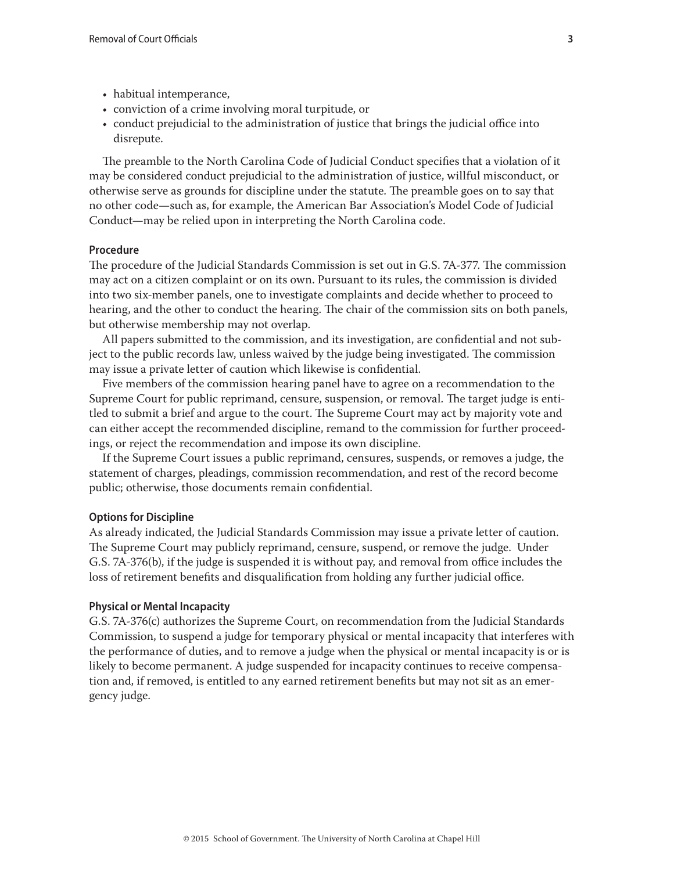- <span id="page-2-0"></span>• habitual intemperance,
- conviction of a crime involving moral turpitude, or
- conduct prejudicial to the administration of justice that brings the judicial office into disrepute.

The preamble to the North Carolina Code of Judicial Conduct specifies that a violation of it may be considered conduct prejudicial to the administration of justice, willful misconduct, or otherwise serve as grounds for discipline under the statute. The preamble goes on to say that no other code—such as, for example, the American Bar Association's Model Code of Judicial Conduct—may be relied upon in interpreting the North Carolina code.

#### **Procedure**

The procedure of the Judicial Standards Commission is set out in G.S. 7A-377. The commission may act on a citizen complaint or on its own. Pursuant to its rules, the commission is divided into two six-member panels, one to investigate complaints and decide whether to proceed to hearing, and the other to conduct the hearing. The chair of the commission sits on both panels, but otherwise membership may not overlap.

All papers submitted to the commission, and its investigation, are confidential and not subject to the public records law, unless waived by the judge being investigated. The commission may issue a private letter of caution which likewise is confidential.

Five members of the commission hearing panel have to agree on a recommendation to the Supreme Court for public reprimand, censure, suspension, or removal. The target judge is entitled to submit a brief and argue to the court. The Supreme Court may act by majority vote and can either accept the recommended discipline, remand to the commission for further proceedings, or reject the recommendation and impose its own discipline.

If the Supreme Court issues a public reprimand, censures, suspends, or removes a judge, the statement of charges, pleadings, commission recommendation, and rest of the record become public; otherwise, those documents remain confidential.

#### **Options for Discipline**

As already indicated, the Judicial Standards Commission may issue a private letter of caution. The Supreme Court may publicly reprimand, censure, suspend, or remove the judge. Under G.S. 7A-376(b), if the judge is suspended it is without pay, and removal from office includes the loss of retirement benefits and disqualification from holding any further judicial office.

#### **Physical or Mental Incapacity**

G.S. 7A-376(c) authorizes the Supreme Court, on recommendation from the Judicial Standards Commission, to suspend a judge for temporary physical or mental incapacity that interferes with the performance of duties, and to remove a judge when the physical or mental incapacity is or is likely to become permanent. A judge suspended for incapacity continues to receive compensation and, if removed, is entitled to any earned retirement benefits but may not sit as an emergency judge.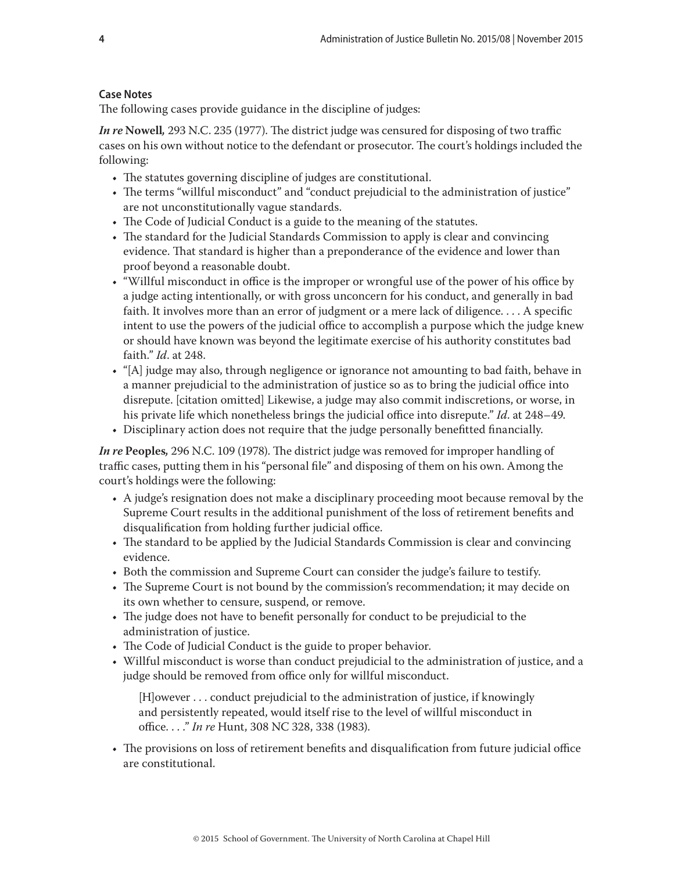# <span id="page-3-0"></span>**Case Notes**

The following cases provide guidance in the discipline of judges:

*In re* **Nowell***,* 293 N.C. 235 (1977). The district judge was censured for disposing of two traffic cases on his own without notice to the defendant or prosecutor. The court's holdings included the following:

- The statutes governing discipline of judges are constitutional.
- The terms "willful misconduct" and "conduct prejudicial to the administration of justice" are not unconstitutionally vague standards.
- The Code of Judicial Conduct is a guide to the meaning of the statutes.
- The standard for the Judicial Standards Commission to apply is clear and convincing evidence. That standard is higher than a preponderance of the evidence and lower than proof beyond a reasonable doubt.
- "Willful misconduct in office is the improper or wrongful use of the power of his office by a judge acting intentionally, or with gross unconcern for his conduct, and generally in bad faith. It involves more than an error of judgment or a mere lack of diligence. . . . A specific intent to use the powers of the judicial office to accomplish a purpose which the judge knew or should have known was beyond the legitimate exercise of his authority constitutes bad faith." *Id*. at 248.
- "[A] judge may also, through negligence or ignorance not amounting to bad faith, behave in a manner prejudicial to the administration of justice so as to bring the judicial office into disrepute. [citation omitted] Likewise, a judge may also commit indiscretions, or worse, in his private life which nonetheless brings the judicial office into disrepute." *Id*. at 248–49.
- Disciplinary action does not require that the judge personally benefitted financially.

*In re* **Peoples***,* 296 N.C. 109 (1978). The district judge was removed for improper handling of traffic cases, putting them in his "personal file" and disposing of them on his own. Among the court's holdings were the following:

- A judge's resignation does not make a disciplinary proceeding moot because removal by the Supreme Court results in the additional punishment of the loss of retirement benefits and disqualification from holding further judicial office.
- The standard to be applied by the Judicial Standards Commission is clear and convincing evidence.
- Both the commission and Supreme Court can consider the judge's failure to testify.
- The Supreme Court is not bound by the commission's recommendation; it may decide on its own whether to censure, suspend, or remove.
- The judge does not have to benefit personally for conduct to be prejudicial to the administration of justice.
- The Code of Judicial Conduct is the guide to proper behavior.
- Willful misconduct is worse than conduct prejudicial to the administration of justice, and a judge should be removed from office only for willful misconduct.

[H]owever . . . conduct prejudicial to the administration of justice, if knowingly and persistently repeated, would itself rise to the level of willful misconduct in office. . . ." *In re* Hunt, 308 NC 328, 338 (1983).

• The provisions on loss of retirement benefits and disqualification from future judicial office are constitutional.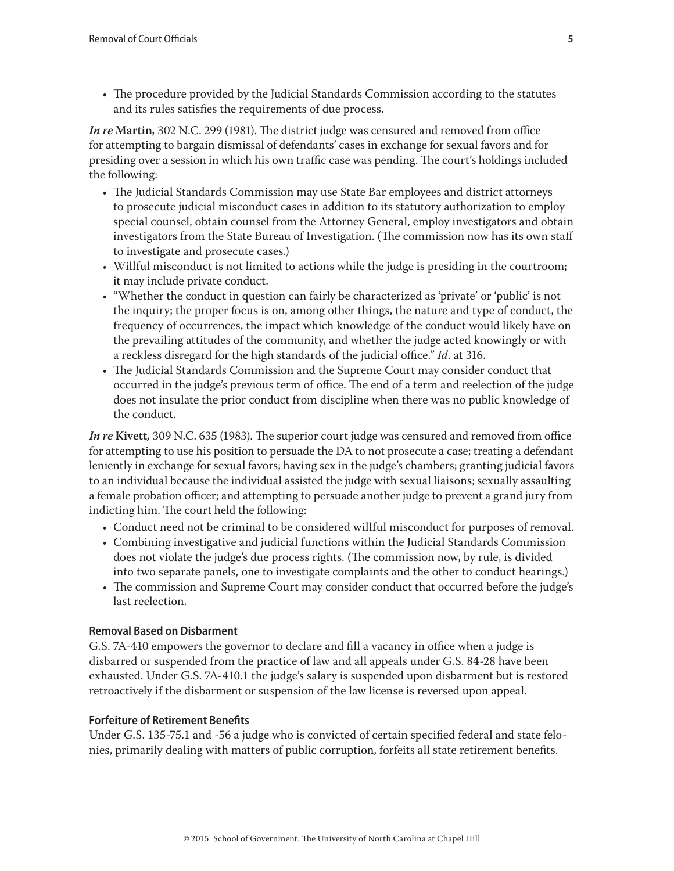<span id="page-4-0"></span>• The procedure provided by the Judicial Standards Commission according to the statutes and its rules satisfies the requirements of due process.

*In re* **Martin***,* 302 N.C. 299 (1981). The district judge was censured and removed from office for attempting to bargain dismissal of defendants' cases in exchange for sexual favors and for presiding over a session in which his own traffic case was pending. The court's holdings included the following:

- The Judicial Standards Commission may use State Bar employees and district attorneys to prosecute judicial misconduct cases in addition to its statutory authorization to employ special counsel, obtain counsel from the Attorney General, employ investigators and obtain investigators from the State Bureau of Investigation. (The commission now has its own staff to investigate and prosecute cases.)
- Willful misconduct is not limited to actions while the judge is presiding in the courtroom; it may include private conduct.
- "Whether the conduct in question can fairly be characterized as 'private' or 'public' is not the inquiry; the proper focus is on, among other things, the nature and type of conduct, the frequency of occurrences, the impact which knowledge of the conduct would likely have on the prevailing attitudes of the community, and whether the judge acted knowingly or with a reckless disregard for the high standards of the judicial office." *Id*. at 316.
- The Judicial Standards Commission and the Supreme Court may consider conduct that occurred in the judge's previous term of office. The end of a term and reelection of the judge does not insulate the prior conduct from discipline when there was no public knowledge of the conduct.

*In re* **Kivett***,* 309 N.C. 635 (1983). The superior court judge was censured and removed from office for attempting to use his position to persuade the DA to not prosecute a case; treating a defendant leniently in exchange for sexual favors; having sex in the judge's chambers; granting judicial favors to an individual because the individual assisted the judge with sexual liaisons; sexually assaulting a female probation officer; and attempting to persuade another judge to prevent a grand jury from indicting him. The court held the following:

- Conduct need not be criminal to be considered willful misconduct for purposes of removal.
- Combining investigative and judicial functions within the Judicial Standards Commission does not violate the judge's due process rights. (The commission now, by rule, is divided into two separate panels, one to investigate complaints and the other to conduct hearings.)
- The commission and Supreme Court may consider conduct that occurred before the judge's last reelection.

# **Removal Based on Disbarment**

G.S. 7A-410 empowers the governor to declare and fill a vacancy in office when a judge is disbarred or suspended from the practice of law and all appeals under G.S. 84-28 have been exhausted. Under G.S. 7A-410.1 the judge's salary is suspended upon disbarment but is restored retroactively if the disbarment or suspension of the law license is reversed upon appeal.

# **Forfeiture of Retirement Benefits**

Under G.S. 135-75.1 and -56 a judge who is convicted of certain specified federal and state felonies, primarily dealing with matters of public corruption, forfeits all state retirement benefits.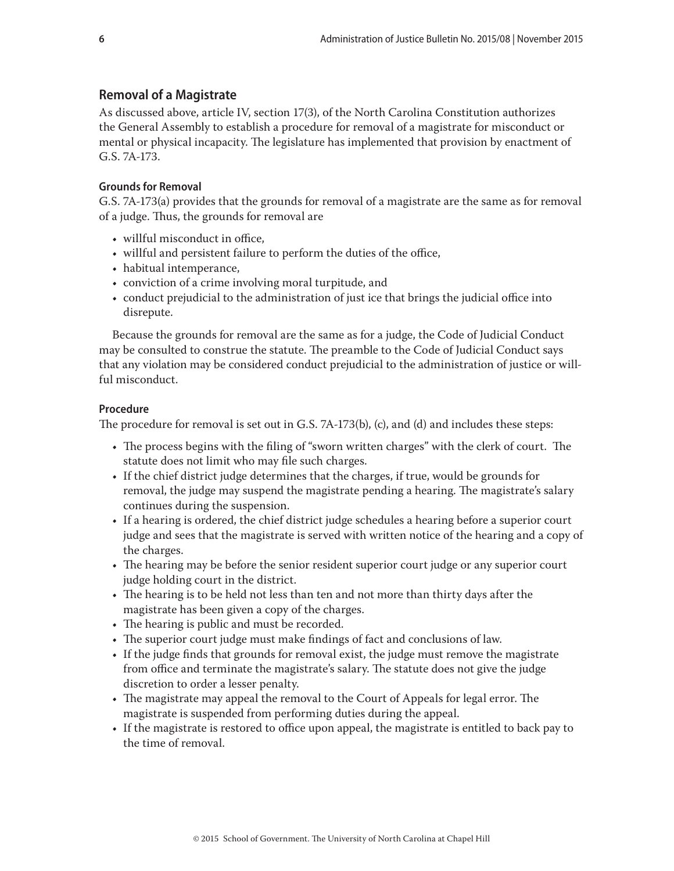# <span id="page-5-0"></span>**Removal of a Magistrate**

As discussed above, article IV, section 17(3), of the North Carolina Constitution authorizes the General Assembly to establish a procedure for removal of a magistrate for misconduct or mental or physical incapacity. The legislature has implemented that provision by enactment of G.S. 7A-173.

#### **Grounds for Removal**

G.S. 7A-173(a) provides that the grounds for removal of a magistrate are the same as for removal of a judge. Thus, the grounds for removal are

- willful misconduct in office,
- willful and persistent failure to perform the duties of the office,
- habitual intemperance,
- conviction of a crime involving moral turpitude, and
- conduct prejudicial to the administration of just ice that brings the judicial office into disrepute.

Because the grounds for removal are the same as for a judge, the Code of Judicial Conduct may be consulted to construe the statute. The preamble to the Code of Judicial Conduct says that any violation may be considered conduct prejudicial to the administration of justice or willful misconduct.

#### **Procedure**

The procedure for removal is set out in G.S. 7A-173(b), (c), and (d) and includes these steps:

- The process begins with the filing of "sworn written charges" with the clerk of court. The statute does not limit who may file such charges.
- If the chief district judge determines that the charges, if true, would be grounds for removal, the judge may suspend the magistrate pending a hearing. The magistrate's salary continues during the suspension.
- If a hearing is ordered, the chief district judge schedules a hearing before a superior court judge and sees that the magistrate is served with written notice of the hearing and a copy of the charges.
- The hearing may be before the senior resident superior court judge or any superior court judge holding court in the district.
- The hearing is to be held not less than ten and not more than thirty days after the magistrate has been given a copy of the charges.
- The hearing is public and must be recorded.
- The superior court judge must make findings of fact and conclusions of law.
- If the judge finds that grounds for removal exist, the judge must remove the magistrate from office and terminate the magistrate's salary. The statute does not give the judge discretion to order a lesser penalty.
- The magistrate may appeal the removal to the Court of Appeals for legal error. The magistrate is suspended from performing duties during the appeal.
- If the magistrate is restored to office upon appeal, the magistrate is entitled to back pay to the time of removal.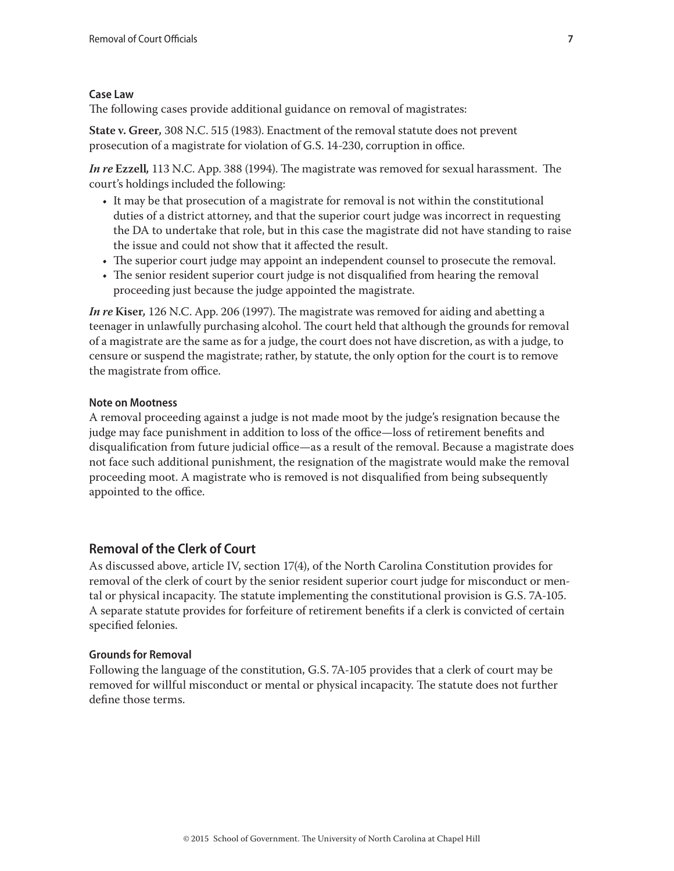# <span id="page-6-0"></span>**Case Law**

The following cases provide additional guidance on removal of magistrates:

**State v. Greer***,* 308 N.C. 515 (1983). Enactment of the removal statute does not prevent prosecution of a magistrate for violation of G.S. 14-230, corruption in office.

*In re* **Ezzell***,* 113 N.C. App. 388 (1994). The magistrate was removed for sexual harassment. The court's holdings included the following:

- It may be that prosecution of a magistrate for removal is not within the constitutional duties of a district attorney, and that the superior court judge was incorrect in requesting the DA to undertake that role, but in this case the magistrate did not have standing to raise the issue and could not show that it affected the result.
- The superior court judge may appoint an independent counsel to prosecute the removal.
- The senior resident superior court judge is not disqualified from hearing the removal proceeding just because the judge appointed the magistrate.

*In re* **Kiser***,* 126 N.C. App. 206 (1997). The magistrate was removed for aiding and abetting a teenager in unlawfully purchasing alcohol. The court held that although the grounds for removal of a magistrate are the same as for a judge, the court does not have discretion, as with a judge, to censure or suspend the magistrate; rather, by statute, the only option for the court is to remove the magistrate from office.

# **Note on Mootness**

A removal proceeding against a judge is not made moot by the judge's resignation because the judge may face punishment in addition to loss of the office—loss of retirement benefits and disqualification from future judicial office—as a result of the removal. Because a magistrate does not face such additional punishment, the resignation of the magistrate would make the removal proceeding moot. A magistrate who is removed is not disqualified from being subsequently appointed to the office.

# **Removal of the Clerk of Court**

As discussed above, article IV, section 17(4), of the North Carolina Constitution provides for removal of the clerk of court by the senior resident superior court judge for misconduct or mental or physical incapacity. The statute implementing the constitutional provision is G.S. 7A-105. A separate statute provides for forfeiture of retirement benefits if a clerk is convicted of certain specified felonies.

# **Grounds for Removal**

Following the language of the constitution, G.S. 7A-105 provides that a clerk of court may be removed for willful misconduct or mental or physical incapacity. The statute does not further define those terms.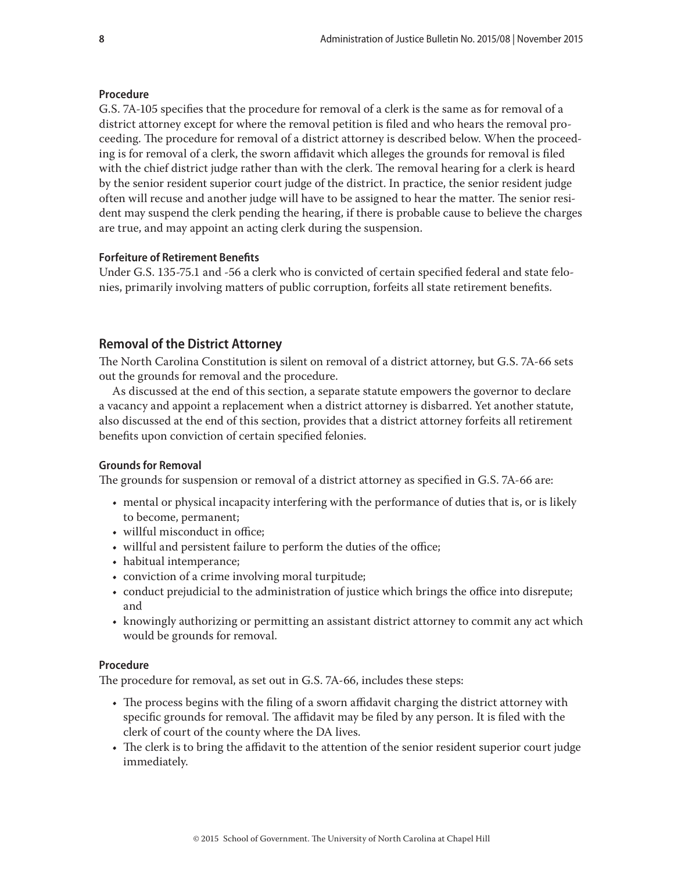#### <span id="page-7-0"></span>**Procedure**

G.S. 7A-105 specifies that the procedure for removal of a clerk is the same as for removal of a district attorney except for where the removal petition is filed and who hears the removal proceeding. The procedure for removal of a district attorney is described below. When the proceeding is for removal of a clerk, the sworn affidavit which alleges the grounds for removal is filed with the chief district judge rather than with the clerk. The removal hearing for a clerk is heard by the senior resident superior court judge of the district. In practice, the senior resident judge often will recuse and another judge will have to be assigned to hear the matter. The senior resident may suspend the clerk pending the hearing, if there is probable cause to believe the charges are true, and may appoint an acting clerk during the suspension.

#### **Forfeiture of Retirement Benefits**

Under G.S. 135-75.1 and -56 a clerk who is convicted of certain specified federal and state felonies, primarily involving matters of public corruption, forfeits all state retirement benefits.

# **Removal of the District Attorney**

The North Carolina Constitution is silent on removal of a district attorney, but G.S. 7A-66 sets out the grounds for removal and the procedure.

As discussed at the end of this section, a separate statute empowers the governor to declare a vacancy and appoint a replacement when a district attorney is disbarred. Yet another statute, also discussed at the end of this section, provides that a district attorney forfeits all retirement benefits upon conviction of certain specified felonies.

#### **Grounds for Removal**

The grounds for suspension or removal of a district attorney as specified in G.S. 7A-66 are:

- mental or physical incapacity interfering with the performance of duties that is, or is likely to become, permanent;
- willful misconduct in office;
- willful and persistent failure to perform the duties of the office;
- habitual intemperance;
- conviction of a crime involving moral turpitude;
- conduct prejudicial to the administration of justice which brings the office into disrepute; and
- knowingly authorizing or permitting an assistant district attorney to commit any act which would be grounds for removal.

#### **Procedure**

The procedure for removal, as set out in G.S. 7A-66, includes these steps:

- The process begins with the filing of a sworn affidavit charging the district attorney with specific grounds for removal. The affidavit may be filed by any person. It is filed with the clerk of court of the county where the DA lives.
- The clerk is to bring the affidavit to the attention of the senior resident superior court judge immediately.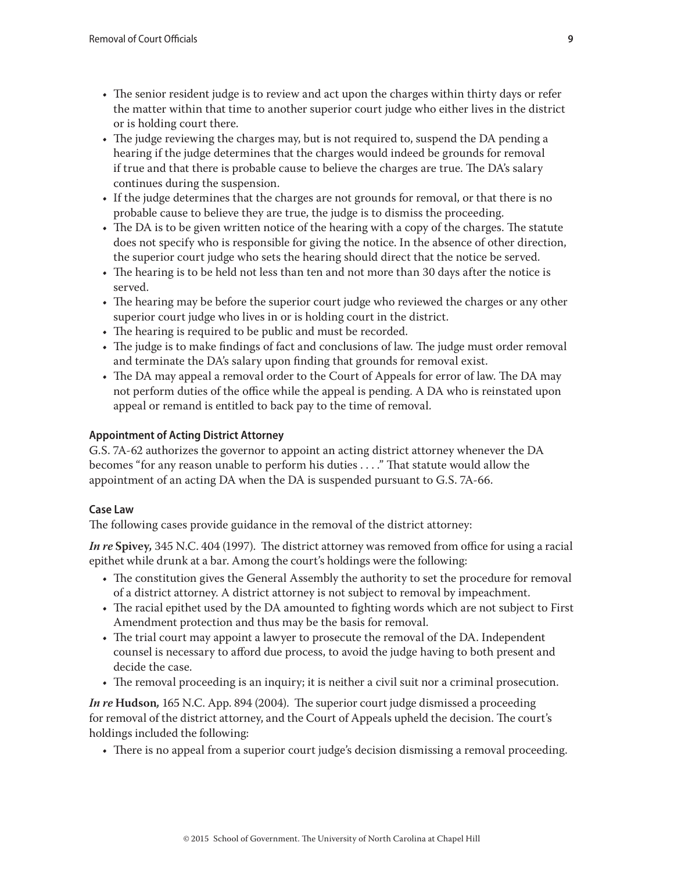- <span id="page-8-0"></span>• The senior resident judge is to review and act upon the charges within thirty days or refer the matter within that time to another superior court judge who either lives in the district or is holding court there.
- The judge reviewing the charges may, but is not required to, suspend the DA pending a hearing if the judge determines that the charges would indeed be grounds for removal if true and that there is probable cause to believe the charges are true. The DA's salary continues during the suspension.
- If the judge determines that the charges are not grounds for removal, or that there is no probable cause to believe they are true, the judge is to dismiss the proceeding.
- The DA is to be given written notice of the hearing with a copy of the charges. The statute does not specify who is responsible for giving the notice. In the absence of other direction, the superior court judge who sets the hearing should direct that the notice be served.
- The hearing is to be held not less than ten and not more than 30 days after the notice is served.
- The hearing may be before the superior court judge who reviewed the charges or any other superior court judge who lives in or is holding court in the district.
- The hearing is required to be public and must be recorded.
- The judge is to make findings of fact and conclusions of law. The judge must order removal and terminate the DA's salary upon finding that grounds for removal exist.
- The DA may appeal a removal order to the Court of Appeals for error of law. The DA may not perform duties of the office while the appeal is pending. A DA who is reinstated upon appeal or remand is entitled to back pay to the time of removal.

# **Appointment of Acting District Attorney**

G.S. 7A-62 authorizes the governor to appoint an acting district attorney whenever the DA becomes "for any reason unable to perform his duties . . . ." That statute would allow the appointment of an acting DA when the DA is suspended pursuant to G.S. 7A-66.

# **Case Law**

The following cases provide guidance in the removal of the district attorney:

*In re* **Spivey***,* 345 N.C. 404 (1997). The district attorney was removed from office for using a racial epithet while drunk at a bar. Among the court's holdings were the following:

- The constitution gives the General Assembly the authority to set the procedure for removal of a district attorney. A district attorney is not subject to removal by impeachment.
- The racial epithet used by the DA amounted to fighting words which are not subject to First Amendment protection and thus may be the basis for removal.
- The trial court may appoint a lawyer to prosecute the removal of the DA. Independent counsel is necessary to afford due process, to avoid the judge having to both present and decide the case.
- The removal proceeding is an inquiry; it is neither a civil suit nor a criminal prosecution.

*In re* **Hudson***,* 165 N.C. App. 894 (2004). The superior court judge dismissed a proceeding for removal of the district attorney, and the Court of Appeals upheld the decision. The court's holdings included the following:

• There is no appeal from a superior court judge's decision dismissing a removal proceeding.